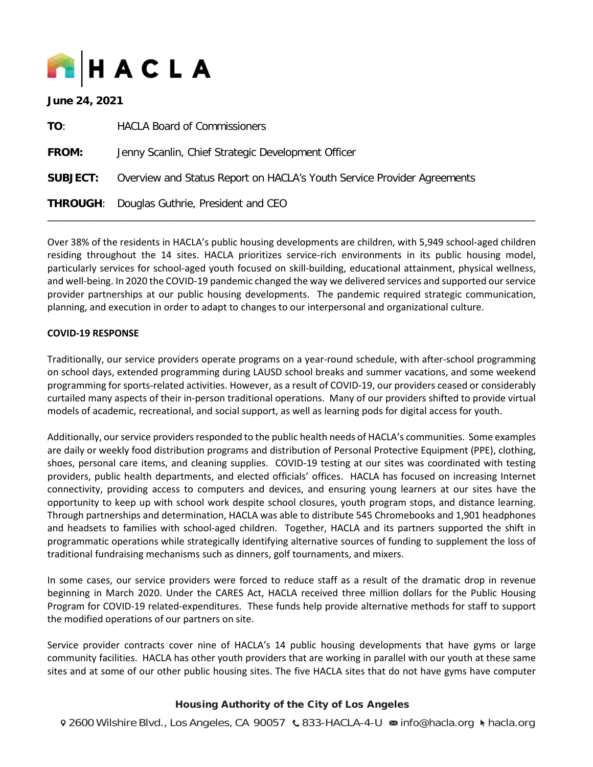

| June 24, 2021   |                                                                         |  |  |  |
|-----------------|-------------------------------------------------------------------------|--|--|--|
| TO:             | <b>HACLA Board of Commissioners</b>                                     |  |  |  |
| <b>FROM:</b>    | Jenny Scanlin, Chief Strategic Development Officer                      |  |  |  |
| <b>SUBJECT:</b> | Overview and Status Report on HACLA's Youth Service Provider Agreements |  |  |  |
|                 | THROUGH: Douglas Guthrie, President and CEO Druglas Chuthnic            |  |  |  |

Over 38% of the residents in HACLA's public housing developments are children, with 5,949 school-aged children residing throughout the 14 sites. HACLA prioritizes service-rich environments in its public housing model, particularly services for school-aged youth focused on skill-building, educational attainment, physical wellness, and well-being. In 2020 the COVID-19 pandemic changed the way we delivered services and supported our service provider partnerships at our public housing developments. The pandemic required strategic communication, planning, and execution in order to adapt to changes to our interpersonal and organizational culture.

\_\_\_\_\_\_\_\_\_\_\_\_\_\_\_\_\_\_\_\_\_\_\_\_\_\_\_\_\_\_\_\_\_\_\_\_\_\_\_\_\_\_\_\_\_\_\_\_\_\_\_\_\_\_\_\_\_\_\_\_\_\_\_\_\_\_\_\_\_\_\_\_\_\_\_\_\_\_\_\_\_\_\_\_\_\_\_\_\_\_\_\_

#### **COVID-19 RESPONSE**

Traditionally, our service providers operate programs on a year-round schedule, with after-school programming on school days, extended programming during LAUSD school breaks and summer vacations, and some weekend programming for sports-related activities. However, as a result of COVID-19, our providers ceased or considerably curtailed many aspects of their in-person traditional operations. Many of our providers shifted to provide virtual models of academic, recreational, and social support, as well as learning pods for digital access for youth.

Additionally, our service providers responded to the public health needs of HACLA's communities. Some examples are daily or weekly food distribution programs and distribution of Personal Protective Equipment (PPE), clothing, shoes, personal care items, and cleaning supplies. COVID-19 testing at our sites was coordinated with testing providers, public health departments, and elected officials' offices. HACLA has focused on increasing Internet connectivity, providing access to computers and devices, and ensuring young learners at our sites have the opportunity to keep up with school work despite school closures, youth program stops, and distance learning. Through partnerships and determination, HACLA was able to distribute 545 Chromebooks and 1,901 headphones and headsets to families with school-aged children. Together, HACLA and its partners supported the shift in programmatic operations while strategically identifying alternative sources of funding to supplement the loss of traditional fundraising mechanisms such as dinners, golf tournaments, and mixers.

In some cases, our service providers were forced to reduce staff as a result of the dramatic drop in revenue beginning in March 2020. Under the CARES Act, HACLA received three million dollars for the Public Housing Program for COVID-19 related-expenditures. These funds help provide alternative methods for staff to support the modified operations of our partners on site.

Service provider contracts cover nine of HACLA's 14 public housing developments that have gyms or large community facilities. HACLA has other youth providers that are working in parallel with our youth at these same sites and at some of our other public housing sites. The five HACLA sites that do not have gyms have computer

#### Housing Authority of the City of Los Angeles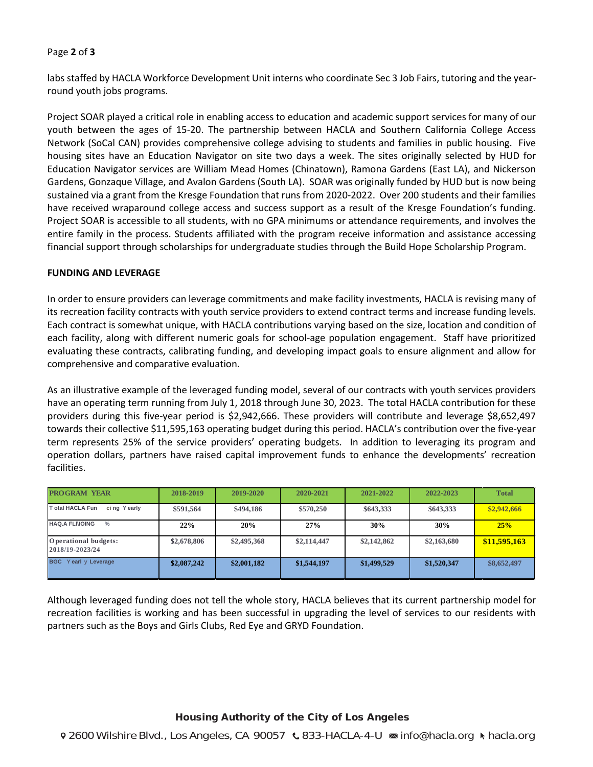#### Page **2** of **3**

labs staffed by HACLA Workforce Development Unit interns who coordinate Sec 3 Job Fairs, tutoring and the yearround youth jobs programs.

Project SOAR played a critical role in enabling access to education and academic support services for many of our youth between the ages of 15-20. The partnership between HACLA and Southern California College Access Network (SoCal CAN) provides comprehensive college advising to students and families in public housing. Five housing sites have an Education Navigator on site two days a week. The sites originally selected by HUD for Education Navigator services are William Mead Homes (Chinatown), Ramona Gardens (East LA), and Nickerson Gardens, Gonzaque Village, and Avalon Gardens (South LA). SOAR was originally funded by HUD but is now being sustained via a grant from the Kresge Foundation that runs from 2020-2022. Over 200 students and their families have received wraparound college access and success support as a result of the Kresge Foundation's funding. Project SOAR is accessible to all students, with no GPA minimums or attendance requirements, and involves the entire family in the process. Students affiliated with the program receive information and assistance accessing financial support through scholarships for undergraduate studies through the Build Hope Scholarship Program.

#### **FUNDING AND LEVERAGE**

In order to ensure providers can leverage commitments and make facility investments, HACLA is revising many of its recreation facility contracts with youth service providers to extend contract terms and increase funding levels. Each contract is somewhat unique, with HACLA contributions varying based on the size, location and condition of each facility, along with different numeric goals for school-age population engagement. Staff have prioritized evaluating these contracts, calibrating funding, and developing impact goals to ensure alignment and allow for comprehensive and comparative evaluation.

As an illustrative example of the leveraged funding model, several of our contracts with youth services providers have an operating term running from July 1, 2018 through June 30, 2023. The total HACLA contribution for these providers during this five-year period is \$2,942,666. These providers will contribute and leverage \$8,652,497 towards their collective \$11,595,163 operating budget during this period. HACLA's contribution over the five-year term represents 25% of the service providers' operating budgets. In addition to leveraging its program and operation dollars, partners have raised capital improvement funds to enhance the developments' recreation facilities.

| <b>PROGRAM YEAR</b>                     | 2018-2019   | 2019-2020   | 2020-2021   | 2021-2022   | 2022-2023   | <b>Total</b> |
|-----------------------------------------|-------------|-------------|-------------|-------------|-------------|--------------|
| otal HACLA Fun<br>cing Yearly           | \$591,564   | \$494,186   | \$570,250   | \$643,333   | \$643,333   | \$2,942,666  |
| <b>HAQ.A FLINOING</b><br>$\%$           | 22%         | 20%         | 27%         | 30%         | 30%         | 25%          |
| Operational budgets:<br>2018/19-2023/24 | \$2,678,806 | \$2,495,368 | \$2,114,447 | \$2,142,862 | \$2,163,680 | \$11,595,163 |
| <b>BGC</b> Yearl y Leverage             | \$2,087,242 | \$2,001,182 | \$1,544,197 | \$1,499,529 | \$1,520,347 | \$8,652,497  |

Although leveraged funding does not tell the whole story, HACLA believes that its current partnership model for recreation facilities is working and has been successful in upgrading the level of services to our residents with partners such as the Boys and Girls Clubs, Red Eye and GRYD Foundation.

#### Housing Authority of the City of Los Angeles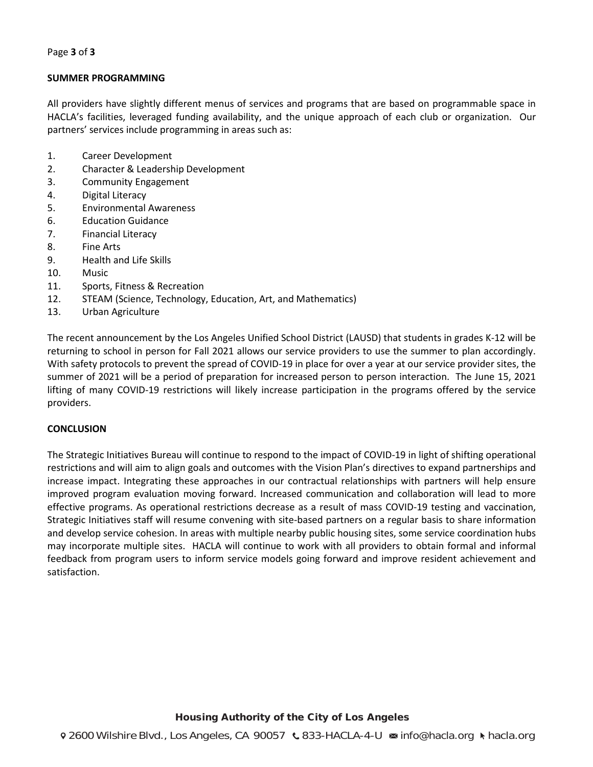#### **SUMMER PROGRAMMING**

All providers have slightly different menus of services and programs that are based on programmable space in HACLA's facilities, leveraged funding availability, and the unique approach of each club or organization. Our partners' services include programming in areas such as:

- 1. Career Development
- 2. Character & Leadership Development
- 3. Community Engagement
- 4. Digital Literacy
- 5. Environmental Awareness
- 6. Education Guidance
- 7. Financial Literacy
- 8. Fine Arts
- 9. Health and Life Skills
- 10. Music
- 11. Sports, Fitness & Recreation
- 12. STEAM (Science, Technology, Education, Art, and Mathematics)
- 13. Urban Agriculture

The recent announcement by the Los Angeles Unified School District (LAUSD) that students in grades K-12 will be returning to school in person for Fall 2021 allows our service providers to use the summer to plan accordingly. With safety protocols to prevent the spread of COVID-19 in place for over a year at our service provider sites, the summer of 2021 will be a period of preparation for increased person to person interaction. The June 15, 2021 lifting of many COVID-19 restrictions will likely increase participation in the programs offered by the service providers.

#### **CONCLUSION**

The Strategic Initiatives Bureau will continue to respond to the impact of COVID-19 in light of shifting operational restrictions and will aim to align goals and outcomes with the Vision Plan's directives to expand partnerships and increase impact. Integrating these approaches in our contractual relationships with partners will help ensure improved program evaluation moving forward. Increased communication and collaboration will lead to more effective programs. As operational restrictions decrease as a result of mass COVID-19 testing and vaccination, Strategic Initiatives staff will resume convening with site-based partners on a regular basis to share information and develop service cohesion. In areas with multiple nearby public housing sites, some service coordination hubs may incorporate multiple sites. HACLA will continue to work with all providers to obtain formal and informal feedback from program users to inform service models going forward and improve resident achievement and satisfaction.

#### Housing Authority of the City of Los Angeles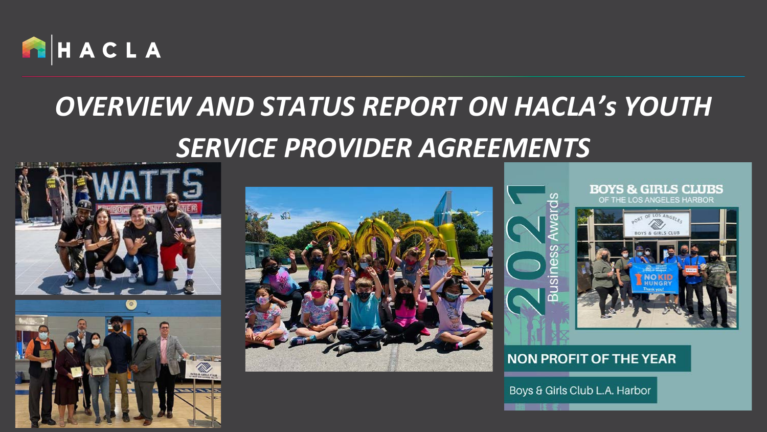

### *OVERVIEW AND STATUS REPORT ON HACLA's YOUTH SERVICE PROVIDER AGREEMENTS*







#### **NON PROFIT OF THE YEAR**

Boys & Girls Club L.A. Harbor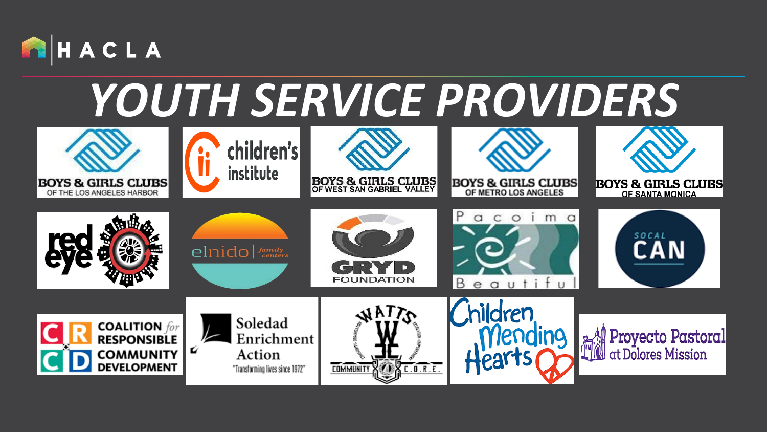

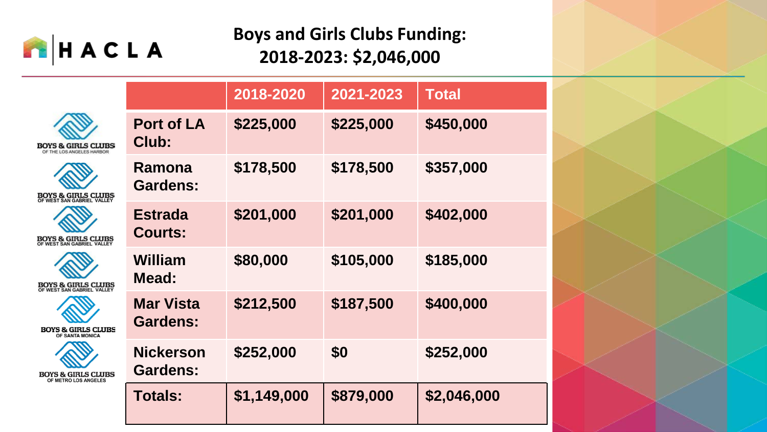

### **Boys and Girls Clubs Funding: 2018-2023: \$2,046,000**

|                                                             |                                     | 2018-2020   | 2021-2023 | <b>Total</b> |
|-------------------------------------------------------------|-------------------------------------|-------------|-----------|--------------|
| <b>BOYS &amp; GIRLS CLUBS</b><br>OF THE LOS ANGELES HARBOR  | Port of LA<br>Club:                 | \$225,000   | \$225,000 | \$450,000    |
| <b>BOYS &amp; GIRLS CLUBS</b><br>OF WEST SAN GABRIEL VALLEY | Ramona<br>Gardens:                  | \$178,500   | \$178,500 | \$357,000    |
| <b>BOYS &amp; GIRLS CLUBS</b><br>OF WEST SAN GABRIEL VALLEY | <b>Estrada</b><br><b>Courts:</b>    | \$201,000   | \$201,000 | \$402,000    |
| <b>BOYS &amp; GIRLS CLUBS</b><br>OF WEST SAN GABRIEL VALLEY | William<br>Mead:                    | \$80,000    | \$105,000 | \$185,000    |
| <b>BOYS &amp; GIRLS CLUBS</b><br>OF SANTA MONICA            | <b>Mar Vista</b><br><b>Gardens:</b> | \$212,500   | \$187,500 | \$400,000    |
| <b>BOYS &amp; GIRLS CLUBS</b><br>OF METRO LOS ANGELES       | <b>Nickerson</b><br><b>Gardens:</b> | \$252,000   | \$0       | \$252,000    |
|                                                             | <b>Totals:</b>                      | \$1,149,000 | \$879,000 | \$2,046,000  |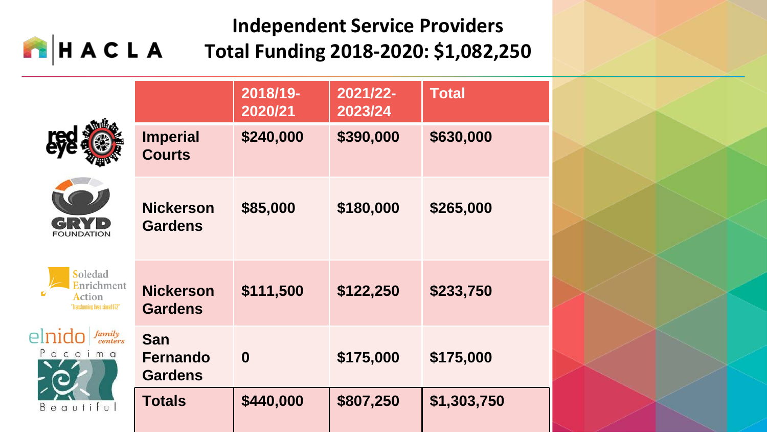#### **Independent Service Providers** HACLA **Total Funding 2018-2020: \$1,082,250**

|                                                                   |                                                 | 2018/19-<br>2020/21 | 2021/22-<br>2023/24 | <b>Total</b> |
|-------------------------------------------------------------------|-------------------------------------------------|---------------------|---------------------|--------------|
|                                                                   | <b>Imperial</b><br><b>Courts</b>                | \$240,000           | \$390,000           | \$630,000    |
| <b>FOUNDATION</b>                                                 | <b>Nickerson</b><br><b>Gardens</b>              | \$85,000            | \$180,000           | \$265,000    |
| Soledad<br>Enrichment<br>Action<br>"Transforming lives since1972" | <b>Nickerson</b><br><b>Gardens</b>              | \$111,500           | \$122,250           | \$233,750    |
| elnic<br>family<br>centers<br>acoima<br>Beautiful                 | <b>San</b><br><b>Fernando</b><br><b>Gardens</b> | $\boldsymbol{0}$    | \$175,000           | \$175,000    |
|                                                                   | <b>Totals</b>                                   | \$440,000           | \$807,250           | \$1,303,750  |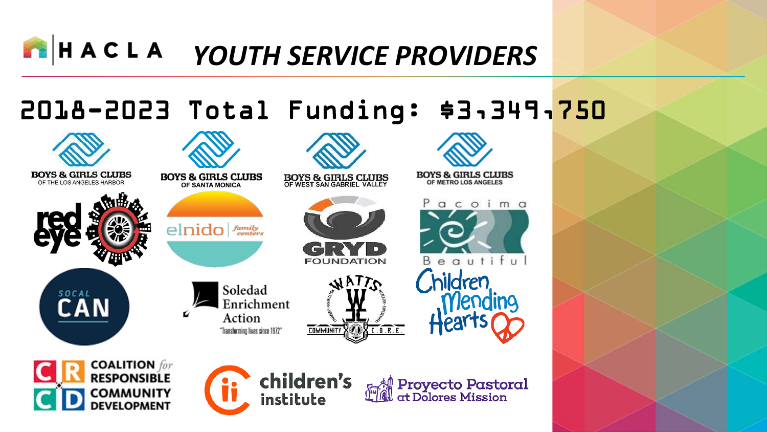### 2018-2023 Total Funding: \$3,349,750

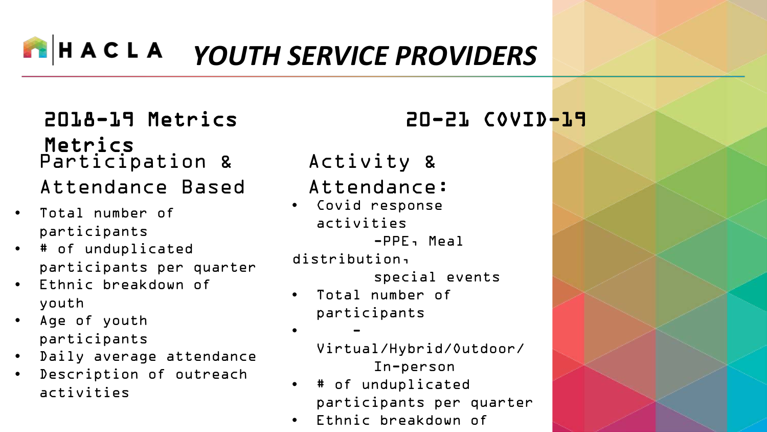### 2018-19 Metrics 20-21 COVID-19 Metrics Participation & Attendance Based

- Total number of participants
- # of unduplicated participants per quarter
- Ethnic breakdown of youth
- Age of youth participants
- Daily average attendance
- Description of outreach activities

### Activity &

### Attendance:

• Covid response activities -PPE, Meal

distribution,

special events

• Total number of participants

• -

Virtual/Hybrid/Outdoor/ In-person

- # of unduplicated participants per quarter
- Ethnic breakdown of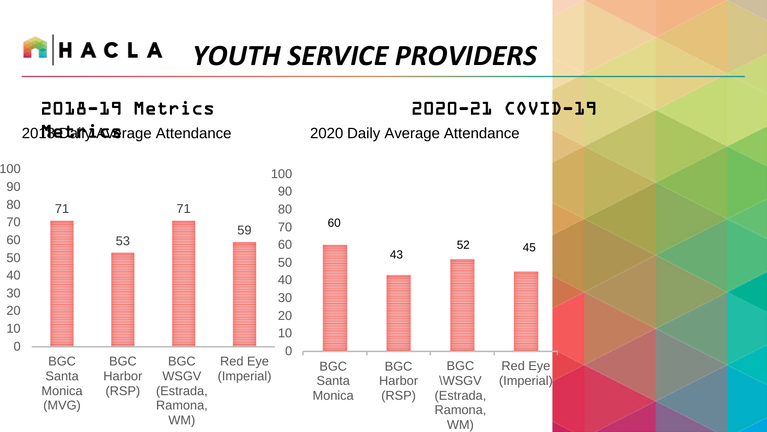2018-19 Metrics 2020-21 COVID-19

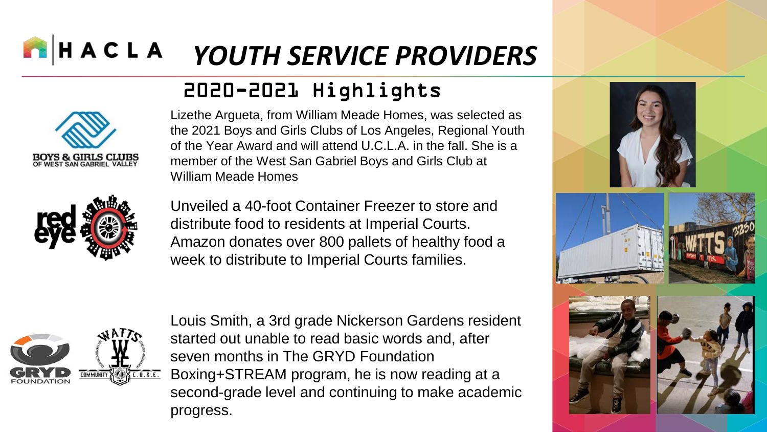### 2020-2021 Highlights



Lizethe Argueta, from William Meade Homes, was selected as the 2021 Boys and Girls Clubs of Los Angeles, Regional Youth of the Year Award and will attend U.C.L.A. in the fall. She is a member of the West San Gabriel Boys and Girls Club at William Meade Homes



Unveiled a 40-foot Container Freezer to store and distribute food to residents at Imperial Courts. Amazon donates over 800 pallets of healthy food a week to distribute to Imperial Courts families.



Louis Smith, a 3rd grade Nickerson Gardens resident started out unable to read basic words and, after seven months in The GRYD Foundation Boxing+STREAM program, he is now reading at a second-grade level and continuing to make academic progress.

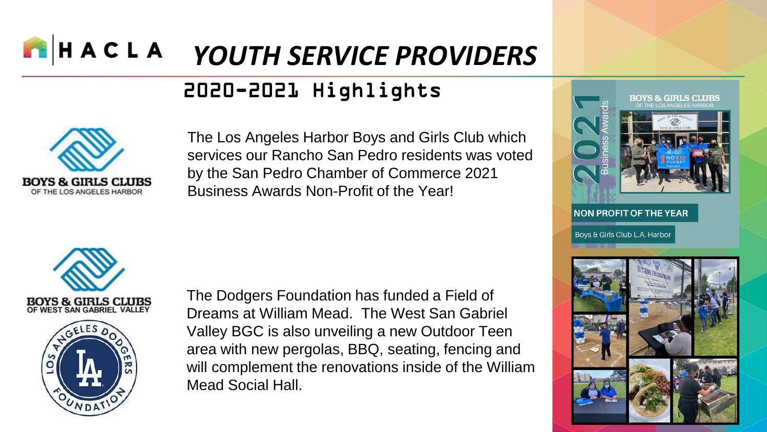### 2020-2021 Highlights



The Los Angeles Harbor Boys and Girls Club which services our Rancho San Pedro residents was voted by the San Pedro Chamber of Commerce 2021 Business Awards Non-Profit of the Year!





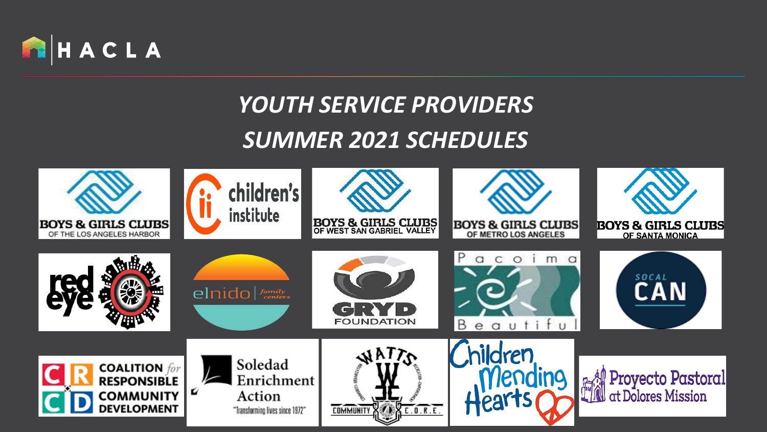

### *SUMMER 2021 SCHEDULES*

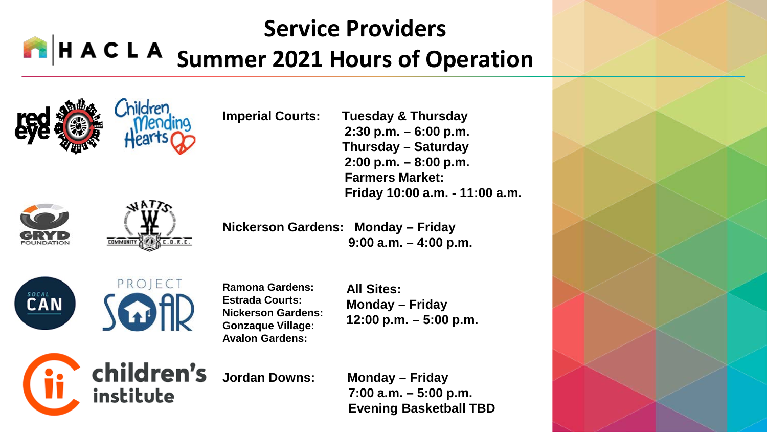### **Service Providers H A C L A Summer 2021 Hours of Operation**





**Imperial Courts: Tuesday & Thursday** 

**2:30 p.m. – 6:00 p.m. Thursday – Saturday 2:00 p.m. – 8:00 p.m. Farmers Market: Friday 10:00 a.m. - 11:00 a.m.**

**Nickerson Gardens: Monday – Friday 9:00 a.m. – 4:00 p.m.**





**Ramona Gardens: Estrada Courts: Nickerson Gardens: Gonzaque Village: Avalon Gardens:**

**All Sites: Monday – Friday 12:00 p.m. – 5:00 p.m.**



children's institute

**Jordan Downs: Monday – Friday 7:00 a.m. – 5:00 p.m. Evening Basketball TBD**

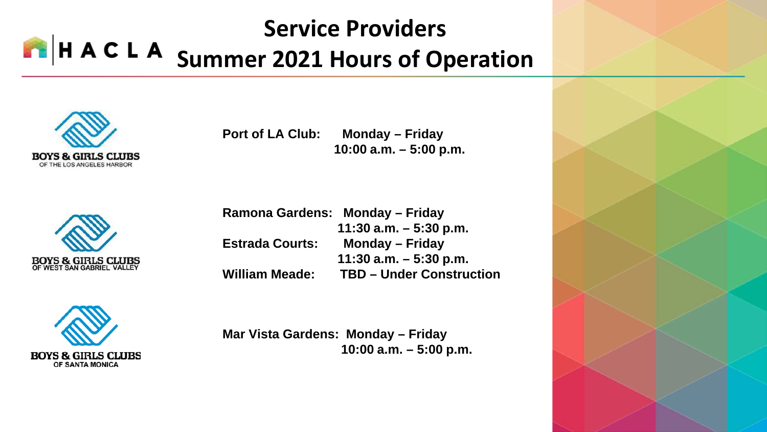### **Service Providers H A C L A Summer 2021 Hours of Operation**



**Port of LA Club: Monday – Friday 10:00 a.m. – 5:00 p.m.**



**Ramona Gardens: Monday – Friday 11:30 a.m. – 5:30 p.m. Estrada Courts: Monday – Friday 11:30 a.m. – 5:30 p.m. William Meade: TBD – Under Construction**



**Mar Vista Gardens: Monday – Friday 10:00 a.m. – 5:00 p.m.**

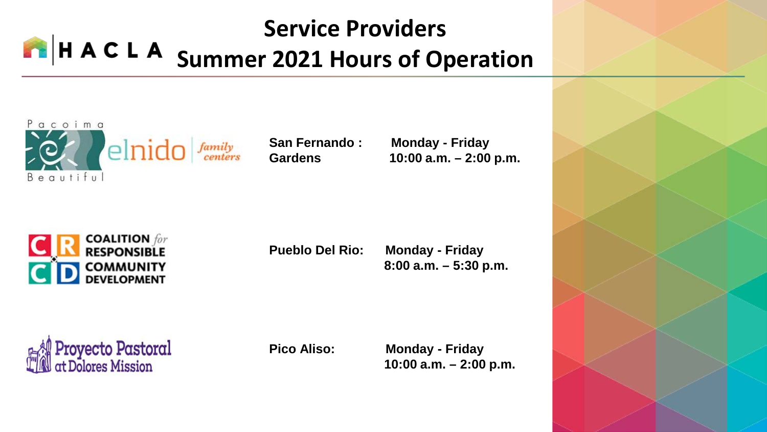### **Service Providers** H A C L A Summer 2021 Hours of Operation



**San Fernando : Monday - Friday Gardens 10:00 a.m. – 2:00 p.m.**



**Pueblo Del Rio: Monday - Friday** 

**8:00 a.m. – 5:30 p.m.**

Proyecto Pastoral<br>at Dolores Mission

**Pico Aliso: Monday - Friday 10:00 a.m. – 2:00 p.m.**